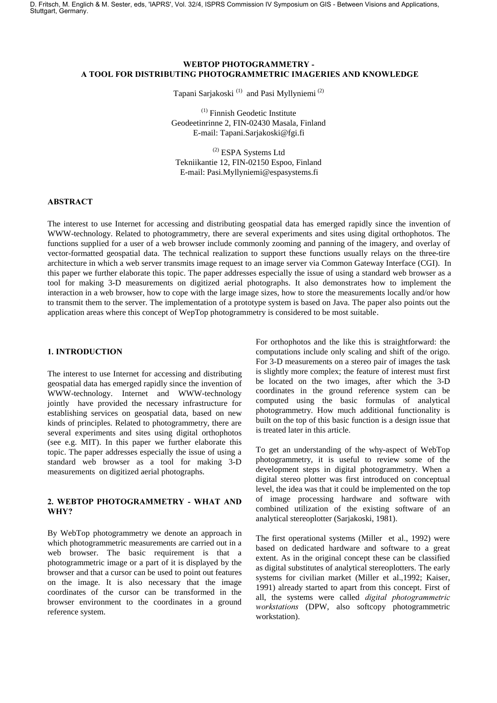D. Fritsch, M. Englich & M. Sester, eds, 'IAPRS', Vol. 32/4, ISPRS Commission IV Symposium on GIS - Between Visions and Applications, Stuttgart, Germany.

### WEBTOP PHOTOGRAMMETRY -A TOOL FOR DISTRIBUTING PHOTOGRAMMETRIC IMAGERIES AND KNOWLEDGE

Tapani Sarjakoski (1) and Pasi Myllyniemi (2)

(1) Finnish Geodetic Institute Geodeetinrinne 2, FIN-02430 Masala, Finland E-mail: Tapani.Sarjakoski@fgi.fi

(2) ESPA Systems Ltd Tekniikantie 12, FIN-02150 Espoo, Finland E-mail: Pasi.Myllyniemi@espasystems.fi

#### **ABSTRACT**

The interest to use Internet for accessing and distributing geospatial data has emerged rapidly since the invention of WWW-technology. Related to photogrammetry, there are several experiments and sites using digital orthophotos. The functions supplied for a user of a web browser include commonly zooming and panning of the imagery, and overlay of vector-formatted geospatial data. The technical realization to support these functions usually relays on the three-tire architecture in which a web server transmits image request to an image server via Common Gateway Interface (CGI). In this paper we further elaborate this topic. The paper addresses especially the issue of using a standard web browser as a tool for making 3-D measurements on digitized aerial photographs. It also demonstrates how to implement the interaction in a web browser, how to cope with the large image sizes, how to store the measurements locally and/or how to transmit them to the server. The implementation of a prototype system is based on Java. The paper also points out the application areas where this concept of WepTop photogrammetry is considered to be most suitable.

#### 1. INTRODUCTION

The interest to use Internet for accessing and distributing geospatial data has emerged rapidly since the invention of WWW-technology. Internet and WWW-technology jointly have provided the necessary infrastructure for establishing services on geospatial data, based on new kinds of principles. Related to photogrammetry, there are several experiments and sites using digital orthophotos (see e.g. MIT). In this paper we further elaborate this topic. The paper addresses especially the issue of using a standard web browser as a tool for making 3-D measurements on digitized aerial photographs.

#### 2. WEBTOP PHOTOGRAMMETRY - WHAT AND WHY?

By WebTop photogrammetry we denote an approach in which photogrammetric measurements are carried out in a web browser. The basic requirement is that a photogrammetric image or a part of it is displayed by the browser and that a cursor can be used to point out features on the image. It is also necessary that the image coordinates of the cursor can be transformed in the browser environment to the coordinates in a ground reference system.

For orthophotos and the like this is straightforward: the computations include only scaling and shift of the origo. For 3-D measurements on a stereo pair of images the task is slightly more complex; the feature of interest must first be located on the two images, after which the 3-D coordinates in the ground reference system can be computed using the basic formulas of analytical photogrammetry. How much additional functionality is built on the top of this basic function is a design issue that is treated later in this article.

To get an understanding of the why-aspect of WebTop photogrammetry, it is useful to review some of the development steps in digital photogrammetry. When a digital stereo plotter was first introduced on conceptual level, the idea was that it could be implemented on the top of image processing hardware and software with combined utilization of the existing software of an analytical stereoplotter (Sarjakoski, 1981).

The first operational systems (Miller et al., 1992) were based on dedicated hardware and software to a great extent. As in the original concept these can be classified as digital substitutes of analytical stereoplotters. The early systems for civilian market (Miller et al.,1992; Kaiser, 1991) already started to apart from this concept. First of all, the systems were called *digital photogrammetric* workstations (DPW, also softcopy photogrammetric workstation).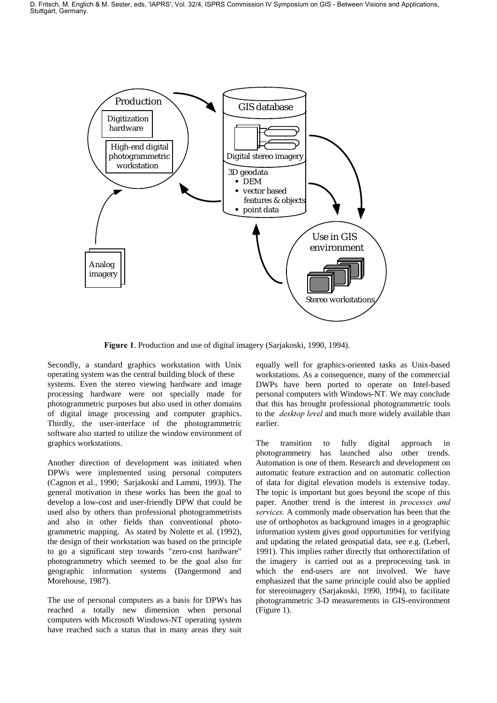

. Production and use of digital imagery (Sarjakoski, 1990, 1994).

Secondly, a standard graphics workstation with Unix operating system was the central building block of these systems. Even the stereo viewing hardware and image processing hardware were not specially made for photogrammetric purposes but also used in other domains of digital image processing and computer graphics. Thirdly, the user-interface of the photogrammetric software also started to utilize the window environment of graphics workstations.

Another direction of development was initiated when DPWs were implemented using personal computers (Cagnon et al., 1990; Sarjakoski and Lammi, 1993). The general motivation in these works has been the goal to develop a low-cost and user-friendly DPW that could be used also by others than professional photogrammetrists and also in other fields than conventional photogrammetric mapping. As stated by Nolette et al. (1992), the design of their workstation was based on the principle to go a significant step towards "zero-cost hardware" photogrammetry which seemed to be the goal also for geographic information systems (Dangermond and Morehouse, 1987).

The use of personal computers as a basis for DPWs has reached a totally new dimension when personal computers with Microsoft Windows-NT operating system have reached such a status that in many areas they suit equally well for graphics-oriented tasks as Unix-based workstations. As a consequence, many of the commercial DWPs have been ported to operate on Intel-based personal computers with Windows-NT. We may conclude that this has brought professional photogrammetric tools to the *desktop level* and much more widely available than earlier.

The transition to fully digital approach in photogrammetry has launched also other trends. Automation is one of them. Research and development on automatic feature extraction and on automatic collection of data for digital elevation models is extensive today. The topic is important but goes beyond the scope of this paper. Another trend is the interest in *processes and* services. A commonly made observation has been that the use of orthophotos as background images in a geographic information system gives good opportunities for verifying and updating the related geospatial data, see e.g. (Leberl, 1991). This implies rather directly that orthorectifation of the imagery is carried out as a preprocessing task in which the end-users are not involved. We have emphasized that the same principle could also be applied for stereoimagery (Sarjakoski, 1990, 1994), to facilitate photogrammetric 3-D measurements in GIS-environment (Figure 1).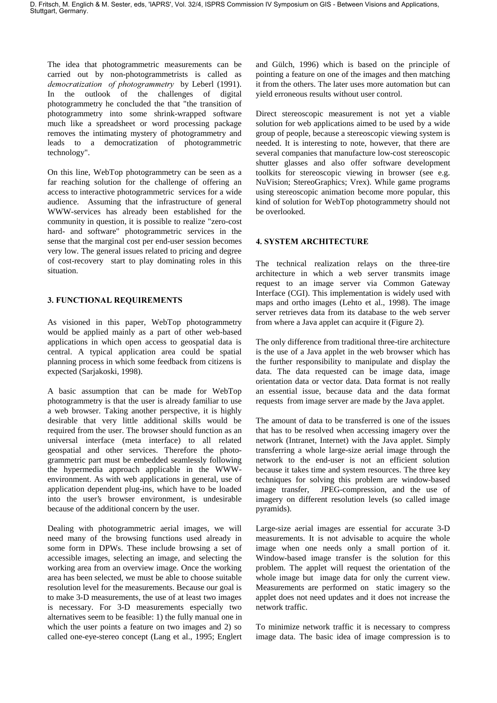The idea that photogrammetric measurements can be carried out by non-photogrammetrists is called as democratization of photogrammetry by Leberl (1991). In the outlook of the challenges of digital photogrammetry he concluded the that "the transition of photogrammetry into some shrink-wrapped software much like a spreadsheet or word processing package removes the intimating mystery of photogrammetry and leads to a democratization of photogrammetric technology".

On this line, WebTop photogrammetry can be seen as a far reaching solution for the challenge of offering an access to interactive photogrammetric services for a wide audience. Assuming that the infrastructure of general WWW-services has already been established for the community in question, it is possible to realize "zero-cost hard- and software" photogrammetric services in the sense that the marginal cost per end-user session becomes very low. The general issues related to pricing and degree of cost-recovery start to play dominating roles in this situation.

# 3. FUNCTIONAL REQUIREMENTS

As visioned in this paper, WebTop photogrammetry would be applied mainly as a part of other web-based applications in which open access to geospatial data is central. A typical application area could be spatial planning process in which some feedback from citizens is expected (Sarjakoski, 1998).

A basic assumption that can be made for WebTop photogrammetry is that the user is already familiar to use a web browser. Taking another perspective, it is highly desirable that very little additional skills would be required from the user. The browser should function as an universal interface (meta interface) to all related geospatial and other services. Therefore the photogrammetric part must be embedded seamlessly following the hypermedia approach applicable in the WWWenvironment. As with web applications in general, use of application dependent plug-ins, which have to be loaded into the user's browser environment, is undesirable because of the additional concern by the user.

Dealing with photogrammetric aerial images, we will need many of the browsing functions used already in some form in DPWs. These include browsing a set of accessible images, selecting an image, and selecting the working area from an overview image. Once the working area has been selected, we must be able to choose suitable resolution level for the measurements. Because our goal is to make 3-D measurements, the use of at least two images is necessary. For 3-D measurements especially two alternatives seem to be feasible: 1) the fully manual one in which the user points a feature on two images and 2) so called one-eye-stereo concept (Lang et al., 1995; Englert and Gülch, 1996) which is based on the principle of pointing a feature on one of the images and then matching it from the others. The later uses more automation but can yield erroneous results without user control.

Direct stereoscopic measurement is not yet a viable solution for web applications aimed to be used by a wide group of people, because a stereoscopic viewing system is needed. It is interesting to note, however, that there are several companies that manufacture low-cost stereoscopic shutter glasses and also offer software development toolkits for stereoscopic viewing in browser (see e.g. NuVision; StereoGraphics; Vrex). While game programs using stereoscopic animation become more popular, this kind of solution for WebTop photogrammetry should not be overlooked.

# **4. SYSTEM ARCHITECTURE**

The technical realization relays on the three-tire architecture in which a web server transmits image request to an image server via Common Gateway Interface (CGI). This implementation is widely used with maps and ortho images (Lehto et al., 1998). The image server retrieves data from its database to the web server from where a Java applet can acquire it (Figure 2).

The only difference from traditional three-tire architecture is the use of a Java applet in the web browser which has the further responsibility to manipulate and display the data. The data requested can be image data, image orientation data or vector data. Data format is not really an essential issue, because data and the data format requests from image server are made by the Java applet.

The amount of data to be transferred is one of the issues that has to be resolved when accessing imagery over the network (Intranet, Internet) with the Java applet. Simply transferring a whole large-size aerial image through the network to the end-user is not an efficient solution because it takes time and system resources. The three key techniques for solving this problem are window-based image transfer, JPEG-compression, and the use of imagery on different resolution levels (so called image pyramids).

Large-size aerial images are essential for accurate 3-D measurements. It is not advisable to acquire the whole image when one needs only a small portion of it. Window-based image transfer is the solution for this problem. The applet will request the orientation of the whole image but image data for only the current view. Measurements are performed on static imagery so the applet does not need updates and it does not increase the network traffic.

To minimize network traffic it is necessary to compress image data. The basic idea of image compression is to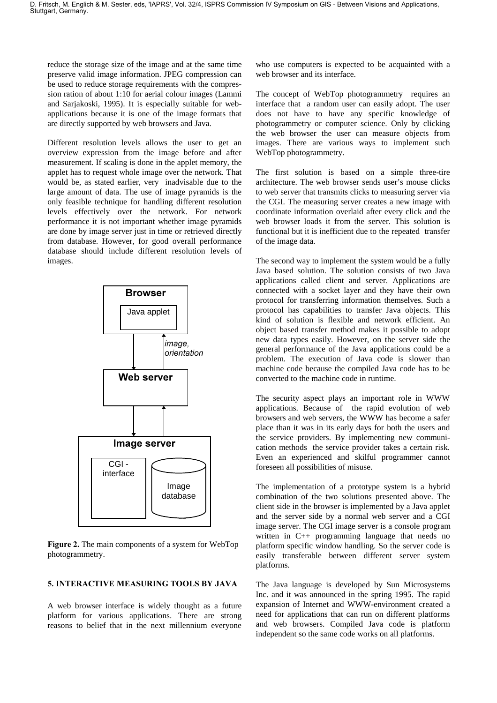reduce the storage size of the image and at the same time preserve valid image information. JPEG compression can be used to reduce storage requirements with the compression ration of about 1:10 for aerial colour images (Lammi and Sarjakoski, 1995). It is especially suitable for webapplications because it is one of the image formats that are directly supported by web browsers and Java.

Different resolution levels allows the user to get an overview expression from the image before and after measurement. If scaling is done in the applet memory, the applet has to request whole image over the network. That would be, as stated earlier, very inadvisable due to the large amount of data. The use of image pyramids is the only feasible technique for handling different resolution levels effectively over the network. For network performance it is not important whether image pyramids are done by image server just in time or retrieved directly from database. However, for good overall performance database should include different resolution levels of images.



Figure 2. The main components of a system for WebTop photogrammetry.

# 5. INTERACTIVE MEASURING TOOLS BY JAVA

A web browser interface is widely thought as a future platform for various applications. There are strong reasons to belief that in the next millennium everyone who use computers is expected to be acquainted with a web browser and its interface.

The concept of WebTop photogrammetry requires an interface that a random user can easily adopt. The user does not have to have any specific knowledge of photogrammetry or computer science. Only by clicking the web browser the user can measure objects from images. There are various ways to implement such WebTop photogrammetry.

The first solution is based on a simple three-tire architecture. The web browser sends user's mouse clicks to web server that transmits clicks to measuring server via the CGI. The measuring server creates a new image with coordinate information overlaid after every click and the web browser loads it from the server. This solution is functional but it is inefficient due to the repeated transfer of the image data.

The second way to implement the system would be a fully Java based solution. The solution consists of two Java applications called client and server. Applications are connected with a socket layer and they have their own protocol for transferring information themselves. Such a protocol has capabilities to transfer Java objects. This kind of solution is flexible and network efficient. An object based transfer method makes it possible to adopt new data types easily. However, on the server side the general performance of the Java applications could be a problem. The execution of Java code is slower than machine code because the compiled Java code has to be converted to the machine code in runtime.

The security aspect plays an important role in WWW applications. Because of the rapid evolution of web browsers and web servers, the WWW has become a safer place than it was in its early days for both the users and the service providers. By implementing new communication methods the service provider takes a certain risk. Even an experienced and skilful programmer cannot foreseen all possibilities of misuse.

The implementation of a prototype system is a hybrid combination of the two solutions presented above. The client side in the browser is implemented by a Java applet and the server side by a normal web server and a CGI image server. The CGI image server is a console program written in C<sub>++</sub> programming language that needs no platform specific window handling. So the server code is easily transferable between different server system platforms.

The Java language is developed by Sun Microsystems Inc. and it was announced in the spring 1995. The rapid expansion of Internet and WWW-environment created a need for applications that can run on different platforms and web browsers. Compiled Java code is platform independent so the same code works on all platforms.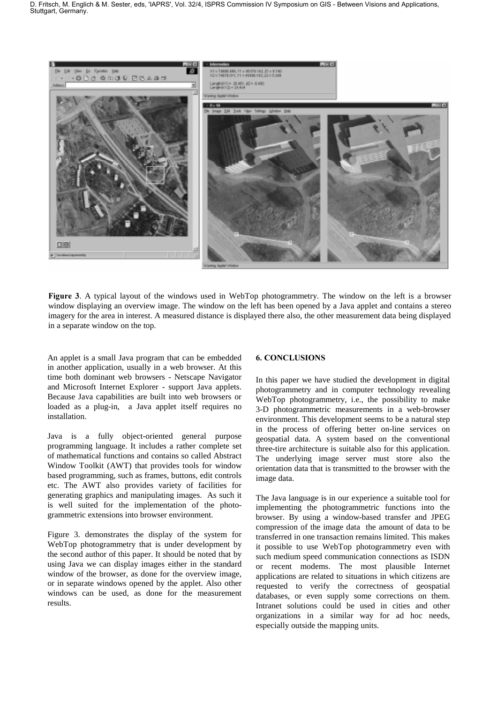

Figure 3. A typical layout of the windows used in WebTop photogrammetry. The window on the left is a browser window displaying an overview image. The window on the left has been opened by a Java applet and contains a stereo imagery for the area in interest. A measured distance is displayed there also, the other measurement data being displayed in a separate window on the top.

An applet is a small Java program that can be embedded in another application, usually in a web browser. At this time both dominant web browsers - Netscape Navigator and Microsoft Internet Explorer - support Java applets. Because Java capabilities are built into web browsers or loaded as a plug-in, a Java applet itself requires no installation.

Java is a fully object-oriented general purpose programming language. It includes a rather complete set of mathematical functions and contains so called Abstract Window Toolkit (AWT) that provides tools for window based programming, such as frames, buttons, edit controls etc. The AWT also provides variety of facilities for generating graphics and manipulating images. As such it is well suited for the implementation of the photogrammetric extensions into browser environment.

Figure 3. demonstrates the display of the system for WebTop photogrammetry that is under development by the second author of this paper. It should be noted that by using Java we can display images either in the standard window of the browser, as done for the overview image, or in separate windows opened by the applet. Also other windows can be used, as done for the measurement results.

# **6. CONCLUSIONS**

In this paper we have studied the development in digital photogrammetry and in computer technology revealing WebTop photogrammetry, i.e., the possibility to make 3-D photogrammetric measurements in a web-browser environment. This development seems to be a natural step in the process of offering better on-line services on geospatial data. A system based on the conventional three-tire architecture is suitable also for this application. The underlying image server must store also the orientation data that is transmitted to the browser with the image data.

The Java language is in our experience a suitable tool for implementing the photogrammetric functions into the browser. By using a window-based transfer and JPEG compression of the image data the amount of data to be transferred in one transaction remains limited. This makes it possible to use WebTop photogrammetry even with such medium speed communication connections as ISDN or recent modems. The most plausible Internet applications are related to situations in which citizens are requested to verify the correctness of geospatial databases, or even supply some corrections on them. Intranet solutions could be used in cities and other organizations in a similar way for ad hoc needs, especially outside the mapping units.